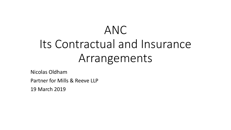# ANC Its Contractual and Insurance Arrangements

Nicolas Oldham

Partner for Mills & Reeve LLP

19 March 2019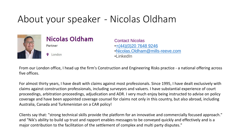### About your speaker - Nicolas Oldham





**Q** London

Contact Nicolas •[+\(44\)\(0\)20 7648 9246](tel:+442076489246) •[Nicolas.Oldham@mills-reeve.com](mailto:Nicolas.Oldham@mills-reeve.com) •LinkedIn

From our London office, I head up the firm's Construction and Engineering Risks practice - a national offering across five offices.

For almost thirty years, I have dealt with claims against most professionals. Since 1995, I have dealt exclusively with claims against construction professionals, including surveyors and valuers. I have substantial experience of court proceedings, arbitration proceedings, adjudication and ADR. I very much enjoy being instructed to advise on policy coverage and have been appointed coverage counsel for claims not only in this country, but also abroad, including Australia, Canada and Turkmenistan on a CAR policy!

Clients say that: "strong technical skills provide the platform for an innovative and commercially focused approach." and "Nik's ability to build up trust and rapport enables messages to be conveyed quickly and effectively and is a major contribution to the facilitation of the settlement of complex and multi party disputes."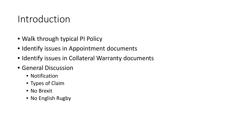#### Introduction

- Walk through typical PI Policy
- Identify issues in Appointment documents
- Identify issues in Collateral Warranty documents
- General Discussion
	- Notification
	- Types of Claim
	- No Brexit
	- No English Rugby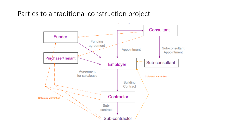Parties to a traditional construction project

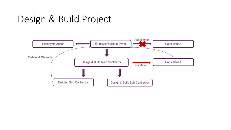### Design & Build Project

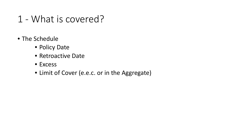- 1 What is covered?
- The Schedule
	- Policy Date
	- Retroactive Date
	- Excess
	- Limit of Cover (e.e.c. or in the Aggregate)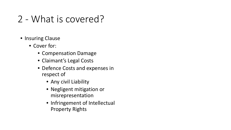### 2 - What is covered?

- Insuring Clause
	- Cover for:
		- Compensation Damage
		- Claimant's Legal Costs
		- Defence Costs and expenses in respect of
			- Any civil Liability
			- Negligent mitigation or misrepresentation
			- Infringement of Intellectual Property Rights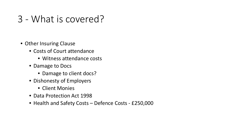#### 3 - What is covered?

- Other Insuring Clause
	- Costs of Court attendance
		- Witness attendance costs
	- Damage to Docs
		- Damage to client docs?
	- Dishonesty of Employers
		- Client Monies
	- Data Protection Act 1998
	- Health and Safety Costs Defence Costs £250,000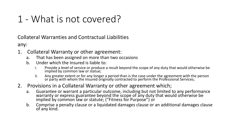### 1 - What is not covered?

Collateral Warranties and Contractual Liabilities

any:

- 1. Collateral Warranty or other agreement:
	- a. That has been assigned on more than two occasions
	- b. Under which the Insured is liable to:
		- i. Provide a level of service or produce a result beyond the scope of any duty that would otherwise be implied by common law or statue;
		- ii. Any greater extent or for any longer a period than is the case under the agreement with the person or party with whom the Insured originally contracted to perform the Professional Services;
- 2. Provisions in a Collateral Warranty or other agreement which;
	- a. Guarantee or warrant a particular outcome, including but not limited to any performance warranty or express guarantee beyond the scope of any duty that would otherwise be implied by common law or statute; ("Fitness for Purpose") or
	- b. Comprise a penalty clause or a liquidated damages clause or an additional damages clause of any kind.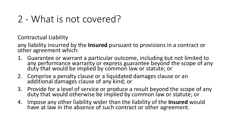#### 2 - What is not covered?

Contractual Liability

any liability incurred by the **Insured** pursuant to provisions in a contract or other agreement which:

- 1. Guarantee or warrant a particular outcome, including but not limited to any performance warranty or express guarantee beyond the scope of any duty that would be implied by common law or statute; or
- 2. Comprise a penalty clause or a liquidated damages clause or an additional damages clause of any kind; or
- 3. Provide for a level of service or produce a result beyond the scope of any duty that would otherwise be implied by common law or statute; or
- 4. Impose any other liability wider than the liability of the **Insured** would have at law in the absence of such contract or other agreement.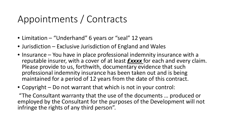# Appointments / Contracts

- Limitation "Underhand" 6 years or "seal" 12 years
- Jurisdiction Exclusive Jurisdiction of England and Wales
- Insurance You have in place professional indemnity insurance with a reputable insurer, with a cover of at least *£xxxx* for each and every claim. Please provide to us, forthwith, documentary evidence that such professional indemnity insurance has been taken out and is being maintained for a period of 12 years from the date of this contract.
- Copyright Do not warrant that which is not in your control:

"The Consultant warranty that the use of the documents … produced or employed by the Consultant for the purposes of the Development will not infringe the rights of any third person".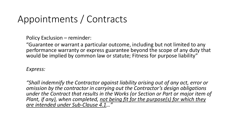### Appointments / Contracts

Policy Exclusion – reminder:

"Guarantee or warrant a particular outcome, including but not limited to any performance warranty or express guarantee beyond the scope of any duty that would be implied by common law or statute; Fitness for purpose liability"

*Express:*

*"Shall indemnify the Contractor against liability arising out of any act, error or omission by the contractor in carrying out the Contractor's design obligations under the Contract that results in the Works (or Section or Part or major item of Plant, if any), when completed, not being fit for the purpose(s) for which they are intended under Sub-Clause 4.1…"*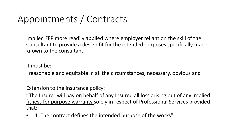# Appointments / Contracts

Implied FFP more readily applied where employer reliant on the skill of the Consultant to provide a design fit for the intended purposes specifically made known to the consultant.

It must be:

"reasonable and equitable in all the circumstances, necessary, obvious and

Extension to the insurance policy:

"The Insurer will pay on behalf of any Insured all loss arising out of any implied fitness for purpose warranty solely in respect of Professional Services provided that:

• 1. The contract defines the intended purpose of the works"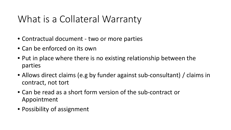### What is a Collateral Warranty

- Contractual document two or more parties
- Can be enforced on its own
- Put in place where there is no existing relationship between the parties
- Allows direct claims (e.g by funder against sub-consultant) / claims in contract, not tort
- Can be read as a short form version of the sub-contract or Appointment
- Possibility of assignment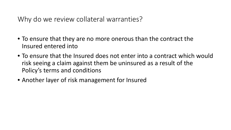Why do we review collateral warranties?

- To ensure that they are no more onerous than the contract the Insured entered into
- To ensure that the Insured does not enter into a contract which would risk seeing a claim against them be uninsured as a result of the Policy's terms and conditions
- Another layer of risk management for Insured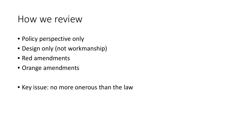#### How we review

- Policy perspective only
- Design only (not workmanship)
- Red amendments
- Orange amendments
- Key issue: no more onerous than the law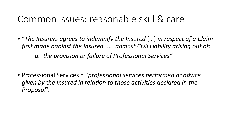#### Common issues: reasonable skill & care

• "*The Insurers agrees to indemnify the Insured* […] *in respect of a Claim first made against the Insured* […] *against Civil Liability arising out of: a. the provision or failure of Professional Services"*

• Professional Services = "*professional services performed or advice given by the Insured in relation to those activities declared in the Proposal*".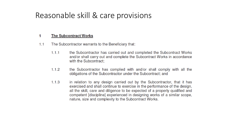#### Reasonable skill & care provisions

#### **The Subcontract Works** 1

- The Subcontractor warrants to the Beneficiary that:  $1.1$ 
	- the Subcontractor has carried out and completed the Subcontract Works  $1.1.1$ and/or shall carry out and complete the Subcontract Works in accordance with the Subcontract;
	- $1.1.2$ the Subcontractor has complied with and/or shall comply with all the obligations of the Subcontractor under the Subcontract; and
	- $1.1.3$ in relation to any design carried out by the Subcontractor, that it has exercised and shall continue to exercise in the performance of the design, all the skill, care and diligence to be expected of a properly qualified and competent [discipline] experienced in designing works of a similar scope, nature, size and complexity to the Subcontract Works.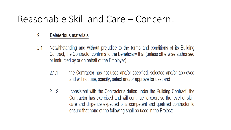#### Reasonable Skill and Care – Concern!

#### $\overline{2}$ **Deleterious materials**

- Notwithstanding and without prejudice to the terms and conditions of its Building  $2.1$ Contract, the Contractor confirms to the Beneficiary that (unless otherwise authorised or instructed by or on behalf of the Employer):
	- the Contractor has not used and/or specified, selected and/or approved  $2.1.1$ and will not use, specify, select and/or approve for use; and
	- $2.1.2$ (consistent with the Contractor's duties under the Building Contract) the Contractor has exercised and will continue to exercise the level of skill, care and diligence expected of a competent and qualified contractor to ensure that none of the following shall be used in the Project: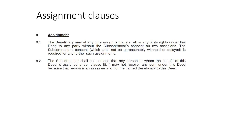#### Assignment clauses

#### 8 **Assignment**

- $8.1$ The Beneficiary may at any time assign or transfer all or any of its rights under this Deed to any party without the Subcontractor's consent on two occasions. The Subcontractor's consent (which shall not be unreasonably withheld or delayed) is required for any further such assignments.
- 8.2 The Subcontractor shall not contend that any person to whom the benefit of this Deed is assigned under clause [8.1] may not recover any sum under this Deed because that person is an assignee and not the named Beneficiary to this Deed.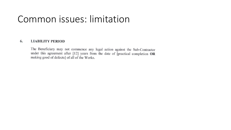#### Common issues: limitation

#### 6. **LIABILITY PERIOD**

The Beneficiary may not commence any legal action against the Sub-Contractor under this agreement after [12] years from the date of [practical completion OR making good of defects] of all of the Works.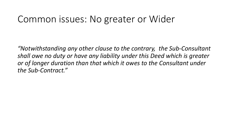#### Common issues: No greater or Wider

*"Notwithstanding any other clause to the contrary, the Sub-Consultant shall owe no duty or have any liability under this Deed which is greater or of longer duration than that which it owes to the Consultant under the Sub-Contract."*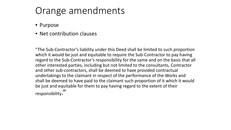### Orange amendments

- Purpose
- Net contribution clauses

"The Sub-Contractor's liability under this Deed shall be limited to such proportion which it would be just and equitable to require the Sub-Contractor to pay having regard to the Sub-Contractor's responsibility for the same and on the basis that all other interested parties, including but not limited to the consultants, Contractor and other sub-contractors, shall be deemed to have provided contractual undertakings to the claimant in respect of the performance of the Works and shall be deemed to have paid to the claimant such proportion of it which it would be just and equitable for them to pay having regard to the extent of their responsibility."